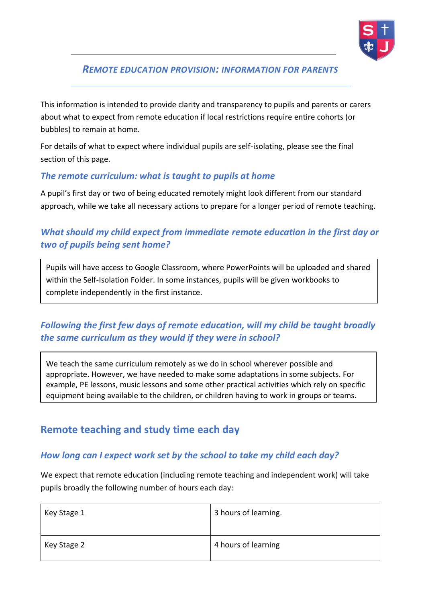

## *REMOTE EDUCATION PROVISION: INFORMATION FOR PARENTS*

This information is intended to provide clarity and transparency to pupils and parents or carers about what to expect from remote education if local restrictions require entire cohorts (or bubbles) to remain at home.

For details of what to expect where individual pupils are self-isolating, please see the final section of this page.

### *The remote curriculum: what is taught to pupils at home*

A pupil's first day or two of being educated remotely might look different from our standard approach, while we take all necessary actions to prepare for a longer period of remote teaching.

## *What should my child expect from immediate remote education in the first day or two of pupils being sent home?*

Pupils will have access to Google Classroom, where PowerPoints will be uploaded and shared within the Self-Isolation Folder. In some instances, pupils will be given workbooks to complete independently in the first instance.

## *Following the first few days of remote education, will my child be taught broadly the same curriculum as they would if they were in school?*

We teach the same curriculum remotely as we do in school wherever possible and appropriate. However, we have needed to make some adaptations in some subjects. For example, PE lessons, music lessons and some other practical activities which rely on specific equipment being available to the children, or children having to work in groups or teams.

# **Remote teaching and study time each day**

#### *How long can I expect work set by the school to take my child each day?*

We expect that remote education (including remote teaching and independent work) will take pupils broadly the following number of hours each day:

| Key Stage 1 | 3 hours of learning. |
|-------------|----------------------|
| Key Stage 2 | 4 hours of learning  |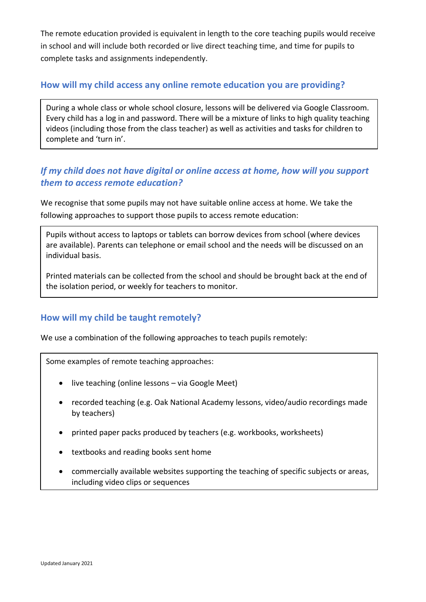The remote education provided is equivalent in length to the core teaching pupils would receive in school and will include both recorded or live direct teaching time, and time for pupils to complete tasks and assignments independently.

#### **How will my child access any online remote education you are providing?**

During a whole class or whole school closure, lessons will be delivered via Google Classroom. Every child has a log in and password. There will be a mixture of links to high quality teaching videos (including those from the class teacher) as well as activities and tasks for children to complete and 'turn in'.

## If my child does not have digital or online access at home, how will you support *them to access remote education?*

We recognise that some pupils may not have suitable online access at home. We take the following approaches to support those pupils to access remote education:

Pupils without access to laptops or tablets can borrow devices from school (where devices are available). Parents can telephone or email school and the needs will be discussed on an individual basis.

Printed materials can be collected from the school and should be brought back at the end of the isolation period, or weekly for teachers to monitor.

#### **How will my child be taught remotely?**

We use a combination of the following approaches to teach pupils remotely:

Some examples of remote teaching approaches:

- live teaching (online lessons via Google Meet)
- recorded teaching (e.g. Oak National Academy lessons, video/audio recordings made by teachers)
- printed paper packs produced by teachers (e.g. workbooks, worksheets)
- textbooks and reading books sent home
- commercially available websites supporting the teaching of specific subjects or areas, including video clips or sequences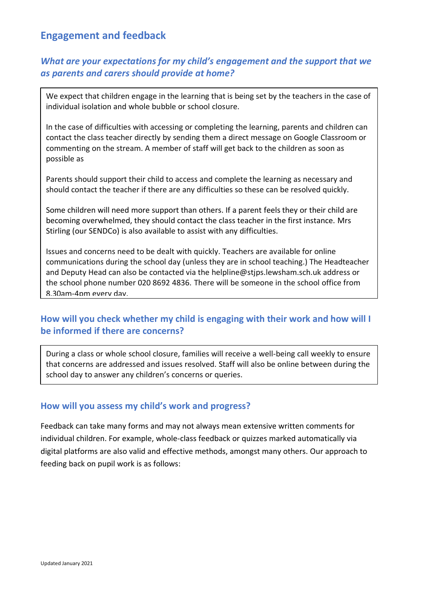## **Engagement and feedback**

## *What are your expectations for my child's engagement and the support that we as parents and carers should provide at home?*

We expect that children engage in the learning that is being set by the teachers in the case of individual isolation and whole bubble or school closure.

In the case of difficulties with accessing or completing the learning, parents and children can contact the class teacher directly by sending them a direct message on Google Classroom or commenting on the stream. A member of staff will get back to the children as soon as possible as

Parents should support their child to access and complete the learning as necessary and should contact the teacher if there are any difficulties so these can be resolved quickly.

Some children will need more support than others. If a parent feels they or their child are becoming overwhelmed, they should contact the class teacher in the first instance. Mrs Stirling (our SENDCo) is also available to assist with any difficulties.

Issues and concerns need to be dealt with quickly. Teachers are available for online communications during the school day (unless they are in school teaching.) The Headteacher and Deputy Head can also be contacted via the helpline@stjps.lewsham.sch.uk address or the school phone number 020 8692 4836. There will be someone in the school office from 8.30am-4pm every day.

# **How will you check whether my child is engaging with their work and how will I**  • **be informed if there are concerns?**

During a class or whole school closure, families will receive a well-being call weekly to ensure that concerns are addressed and issues resolved. Staff will also be online between during the school day to answer any children's concerns or queries.

#### **How will you assess my child's work and progress?**

Feedback can take many forms and may not always mean extensive written comments for individual children. For example, whole-class feedback or quizzes marked automatically via digital platforms are also valid and effective methods, amongst many others. Our approach to feeding back on pupil work is as follows: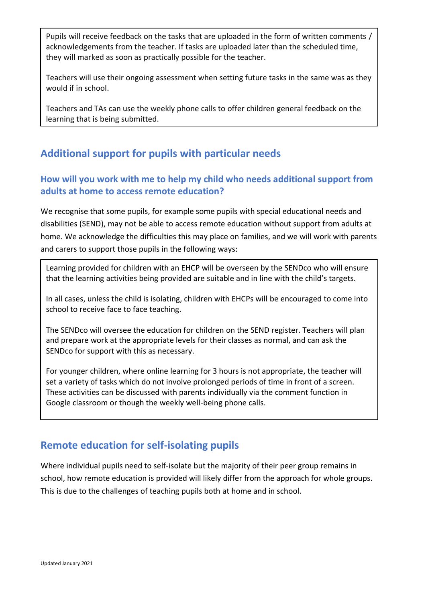Pupils will receive feedback on the tasks that are uploaded in the form of written comments / acknowledgements from the teacher. If tasks are uploaded later than the scheduled time, they will marked as soon as practically possible for the teacher.

Teachers will use their ongoing assessment when setting future tasks in the same was as they would if in school.

Teachers and TAs can use the weekly phone calls to offer children general feedback on the learning that is being submitted.

# **Additional support for pupils with particular needs**

## **How will you work with me to help my child who needs additional support from adults at home to access remote education?**

We recognise that some pupils, for example some pupils with special educational needs and disabilities (SEND), may not be able to access remote education without support from adults at home. We acknowledge the difficulties this may place on families, and we will work with parents and carers to support those pupils in the following ways:

Learning provided for children with an EHCP will be overseen by the SENDco who will ensure that the learning activities being provided are suitable and in line with the child's targets.

In all cases, unless the child is isolating, children with EHCPs will be encouraged to come into school to receive face to face teaching.

The SENDco will oversee the education for children on the SEND register. Teachers will plan and prepare work at the appropriate levels for their classes as normal, and can ask the SENDco for support with this as necessary.

For younger children, where online learning for 3 hours is not appropriate, the teacher will set a variety of tasks which do not involve prolonged periods of time in front of a screen. These activities can be discussed with parents individually via the comment function in Google classroom or though the weekly well-being phone calls.

# **Remote education for self-isolating pupils**

Where individual pupils need to self-isolate but the majority of their peer group remains in school, how remote education is provided will likely differ from the approach for whole groups. This is due to the challenges of teaching pupils both at home and in school.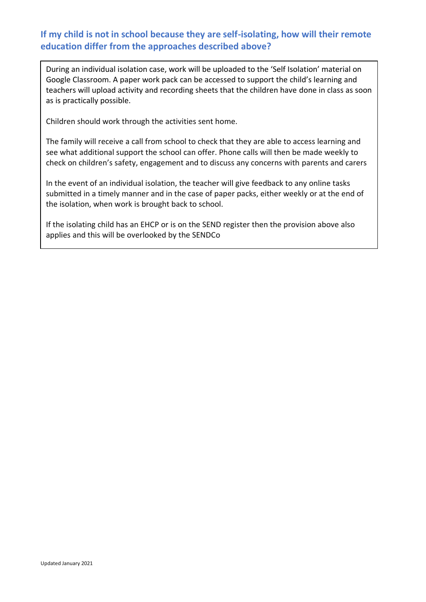### **If my child is not in school because they are self-isolating, how will their remote education differ from the approaches described above?**

During an individual isolation case, work will be uploaded to the 'Self Isolation' material on Google Classroom. A paper work pack can be accessed to support the child's learning and teachers will upload activity and recording sheets that the children have done in class as soon as is practically possible.

Children should work through the activities sent home.

The family will receive a call from school to check that they are able to access learning and see what additional support the school can offer. Phone calls will then be made weekly to check on children's safety, engagement and to discuss any concerns with parents and carers

In the event of an individual isolation, the teacher will give feedback to any online tasks submitted in a timely manner and in the case of paper packs, either weekly or at the end of the isolation, when work is brought back to school.

If the isolating child has an EHCP or is on the SEND register then the provision above also applies and this will be overlooked by the SENDCo